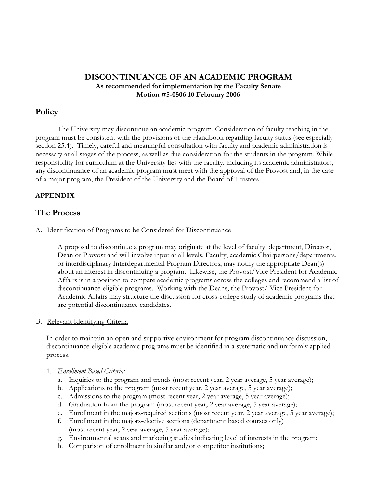# DISCONTINUANCE OF AN ACADEMIC PROGRAM As recommended for implementation by the Faculty Senate Motion #5-0506 10 February 2006

# Policy

The University may discontinue an academic program. Consideration of faculty teaching in the program must be consistent with the provisions of the Handbook regarding faculty status (see especially section 25.4). Timely, careful and meaningful consultation with faculty and academic administration is necessary at all stages of the process, as well as due consideration for the students in the program. While responsibility for curriculum at the University lies with the faculty, including its academic administrators, any discontinuance of an academic program must meet with the approval of the Provost and, in the case of a major program, the President of the University and the Board of Trustees.

### **APPENDIX**

### **The Process**

#### A. Identification of Programs to be Considered for Discontinuance

A proposal to discontinue a program may originate at the level of faculty, department, Director, Dean or Provost and will involve input at all levels. Faculty, academic Chairpersons/departments, or interdisciplinary Interdepartmental Program Directors, may notify the appropriate Dean(s) about an interest in discontinuing a program. Likewise, the Provost/Vice President for Academic Affairs is in a position to compare academic programs across the colleges and recommend a list of discontinuance-eligible programs. Working with the Deans, the Provost/ Vice President for Academic Affairs may structure the discussion for cross-college study of academic programs that are potential discontinuance candidates.

#### B. Relevant Identifying Criteria

In order to maintain an open and supportive environment for program discontinuance discussion, discontinuance-eligible academic programs must be identified in a systematic and uniformly applied process.

- 1. Enrollment Based Criteria:
	- a. Inquiries to the program and trends (most recent year, 2 year average, 5 year average);
	- b. Applications to the program (most recent year, 2 year average, 5 year average);
	- c. Admissions to the program (most recent year, 2 year average, 5 year average);
	- d. Graduation from the program (most recent year, 2 year average, 5 year average);
	- e. Enrollment in the majors-required sections (most recent year, 2 year average, 5 year average);
	- f. Enrollment in the majors-elective sections (department based courses only) (most recent year, 2 year average, 5 year average);
	- g. Environmental scans and marketing studies indicating level of interests in the program;
	- h. Comparison of enrollment in similar and/or competitor institutions;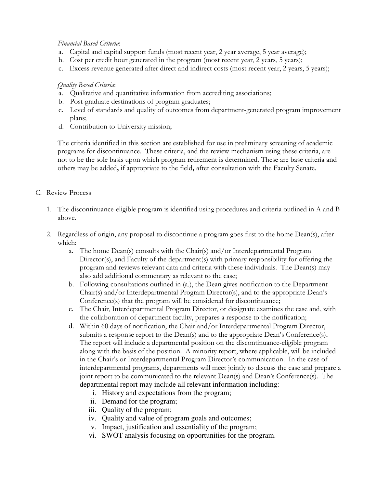## Financial Based Criteria:

- a. Capital and capital support funds (most recent year, 2 year average, 5 year average);
- b. Cost per credit hour generated in the program (most recent year, 2 years, 5 years);
- c. Excess revenue generated after direct and indirect costs (most recent year, 2 years, 5 years);

# Quality Based Criteria:

- a. Qualitative and quantitative information from accrediting associations;
- b. Post-graduate destinations of program graduates;
- c. Level of standards and quality of outcomes from department-generated program improvement plans;
- d. Contribution to University mission;

The criteria identified in this section are established for use in preliminary screening of academic programs for discontinuance. These criteria, and the review mechanism using these criteria, are not to be the sole basis upon which program retirement is determined. These are base criteria and others may be added, if appropriate to the field, after consultation with the Faculty Senate.

### C. Review Process

- 1. The discontinuance-eligible program is identified using procedures and criteria outlined in A and B above.
- 2. Regardless of origin, any proposal to discontinue a program goes first to the home Dean(s), after which:
	- a. The home Dean(s) consults with the Chair(s) and/or Interdepartmental Program Director(s), and Faculty of the department(s) with primary responsibility for offering the program and reviews relevant data and criteria with these individuals. The Dean(s) may also add additional commentary as relevant to the case;
	- b. Following consultations outlined in (a.), the Dean gives notification to the Department Chair(s) and/or Interdepartmental Program Director(s), and to the appropriate Dean's Conference(s) that the program will be considered for discontinuance;
	- c. The Chair, Interdepartmental Program Director, or designate examines the case and, with the collaboration of department faculty, prepares a response to the notification;
	- d. Within 60 days of notification, the Chair and/or Interdepartmental Program Director, submits a response report to the Dean(s) and to the appropriate Dean's Conference(s). The report will include a departmental position on the discontinuance-eligible program along with the basis of the position. A minority report, where applicable, will be included in the Chair's or Interdepartmental Program Director's communication. In the case of interdepartmental programs, departments will meet jointly to discuss the case and prepare a joint report to be communicated to the relevant Dean(s) and Dean's Conference(s). The departmental report may include all relevant information including:
		- i. History and expectations from the program;
		- ii. Demand for the program;
		- iii. Quality of the program;
		- iv. Quality and value of program goals and outcomes;
		- v. Impact, justification and essentiality of the program;
		- vi. SWOT analysis focusing on opportunities for the program.